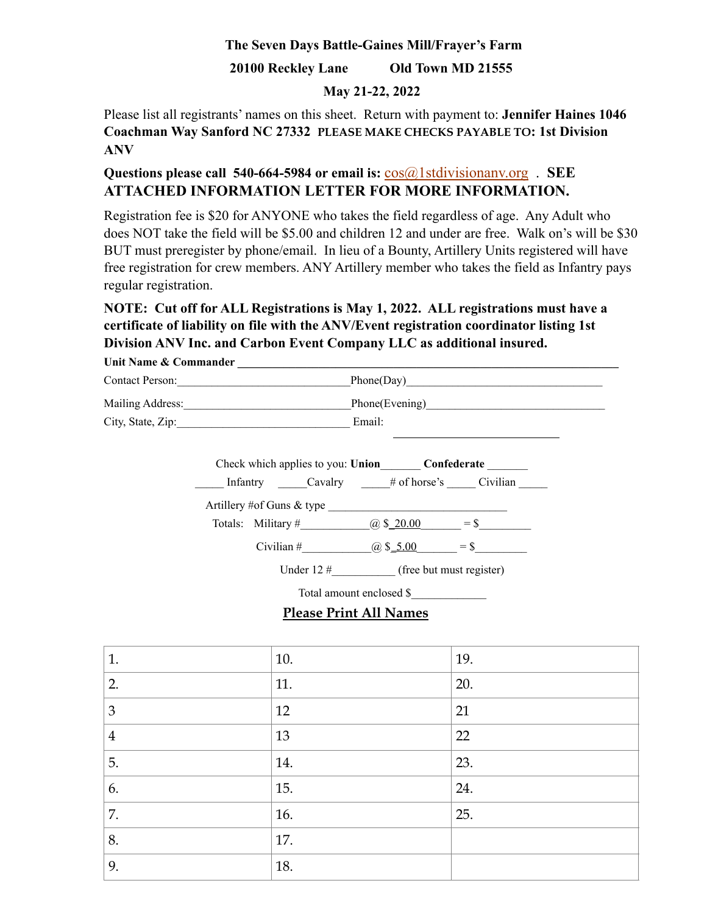## **The Seven Days Battle-Gaines Mill/Frayer's Farm**

## **20100 Reckley Lane Old Town MD 21555**

### **May 21-22, 2022**

Please list all registrants' names on this sheet. Return with payment to: **Jennifer Haines 1046 Coachman Way Sanford NC 27332 PLEASE MAKE CHECKS PAYABLE TO: 1st Division ANV** 

# **Questions please call 540-664-5984 or email is:** [cos@1stdivisionanv.org](mailto:cos@1stdivisionanv.org) . **SEE ATTACHED INFORMATION LETTER FOR MORE INFORMATION.**

Registration fee is \$20 for ANYONE who takes the field regardless of age. Any Adult who does NOT take the field will be \$5.00 and children 12 and under are free. Walk on's will be \$30 BUT must preregister by phone/email. In lieu of a Bounty, Artillery Units registered will have free registration for crew members. ANY Artillery member who takes the field as Infantry pays regular registration.

# **NOTE: Cut off for ALL Registrations is May 1, 2022. ALL registrations must have a certificate of liability on file with the ANV/Event registration coordinator listing 1st Division ANV Inc. and Carbon Event Company LLC as additional insured.**

| Unit Name & Commander |                           |                                               |  |  |
|-----------------------|---------------------------|-----------------------------------------------|--|--|
| Contact Person:       |                           | Phone(Day)                                    |  |  |
|                       |                           | Phone(Evening)                                |  |  |
| City, State, Zip:     | Email:                    |                                               |  |  |
|                       |                           | Check which applies to you: Union Confederate |  |  |
|                       |                           | Infantry Cavalry # of horse's Civilian        |  |  |
|                       | Artillery #of Guns & type |                                               |  |  |

| Totals: Military # | $(a)$ \$ 20.00 | $=$ \$ |  |
|--------------------|----------------|--------|--|

Civilian #  $(a) \$ 5.00 = \$$ 

Under 12 # (free but must register)

Total amount enclosed \$\_\_\_\_\_\_\_\_\_\_\_\_\_

# **Please Print All Names**

| 1.             | 10. | 19. |
|----------------|-----|-----|
| 2.             | 11. | 20. |
| 3              | 12  | 21  |
| $\overline{4}$ | 13  | 22  |
| 5.             | 14. | 23. |
| 6.             | 15. | 24. |
| 7.             | 16. | 25. |
| 8.             | 17. |     |
| 9.             | 18. |     |